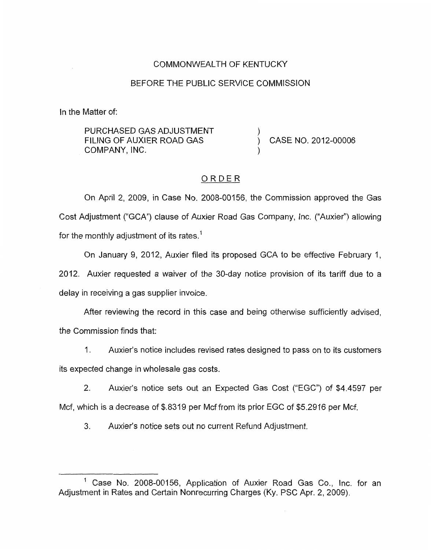## COMMONWEALTH OF KENTUCKY

#### BEFORE THE PUBLIC SERVICE COMMISSION

In the Matter of:

PURCHASED GAS ADJUSTMENT COMPANY, INC. FILING OF AUXIER ROAD GAS  $\overrightarrow{)}$  CASE NO. 2012-00006

#### ORDER

On April 2, 2009, in Case No. 2008-00156, the Commission approved the Gas Cost Adjustment ("GCA") clause of Auxier Road Gas Company, Inc. ("Auxier") allowing for the monthly adjustment of its rates.<sup>1</sup>

On January 9, 2012, Auxier filed its proposed GCA to be effective February 1, 2012. Auxier requested a waiver of the 30-day notice provision of its tariff due to a

delay in receiving a gas supplier invoice.

After reviewing the record in this case and being otherwise sufficiently advised, the Commission finds that:

I. Auxier's notice includes revised rates designed to pass on to its customers

its expected change in wholesale gas costs.

2. Auxier's notice sets out an Expected Gas Cost ("EGC") of \$4.4597 per

Mcf, which is a decrease of \$.8319 per Mcf from its prior EGC of \$5.2916 per Mcf.

3. Auxier's notice sets out no current Refund Adjustment.

<sup>&#</sup>x27; Case No. 2008-00156, Application of Auxier Road Gas Co., Inc. for an Adjustment in Rates and Certain Nonrecurring Charges (Ky. PSC Apr. 2, 2009).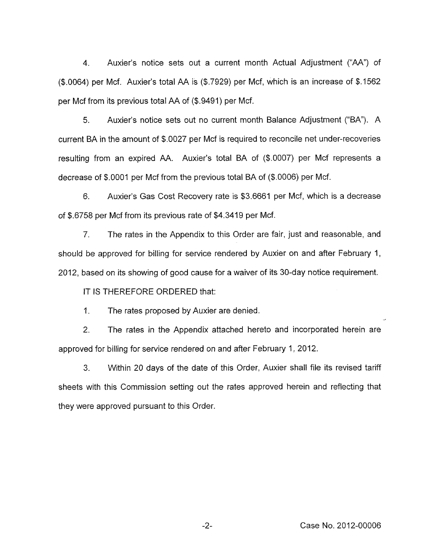4. Auxier's notice sets out a current month Actual Adjustment ("AA") of (\$.0064) per Mcf. Auxier's total AA is (\$.7929) per Mcf, which is an increase of \$.I562 per Mcf from its previous total AA of (\$.9491) per Mcf.

5. Auxier's notice sets out no current month Balance Adjustment ("BA"). A current BA in the amount of \$.0027 per Mcf is required to reconcile net under-recoveries resulting from an expired AA. Auxier's total BA of (\$.0007) per Mcf represents a decrease of \$.0001 per Mcf from the previous total BA of (\$.0006) per Mcf.

6. Auxier's Gas Cost Recovery rate is \$3.6661 per Mcf, which is a decrease of \$.6758 per Mcf from its previous rate of \$4.3419 per Mcf.

*7.* The rates in the Appendix to this Order are fair, just and reasonable, and should be approved for billing for service rendered by Auxier on and after February 1, 2012, based on its showing of good cause for a waiver of its 30-day notice requirement.

IT IS THEREFORE ORDERED that:

1. The rates proposed by Auxier are denied.

2. The rates in the Appendix attached hereto and incorporated herein are approved for billing for service rendered on and after February 1, 2012.

*3.* Within 20 days of the date of this Order, Auxier shall file its revised tariff sheets with this Commission setting out the rates approved herein and reflecting that they were approved pursuant to this Order.

..?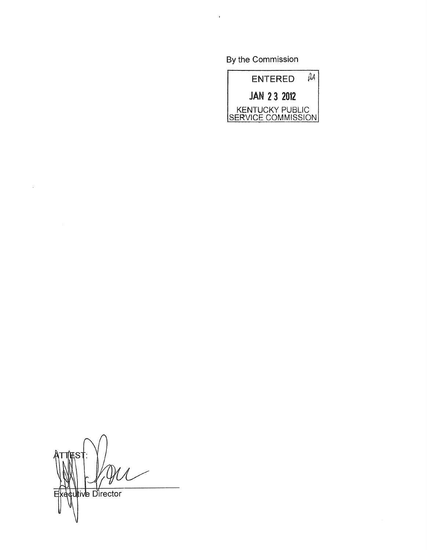By the Commission



J **Utive Director** E

 $\ddot{\phantom{1}}$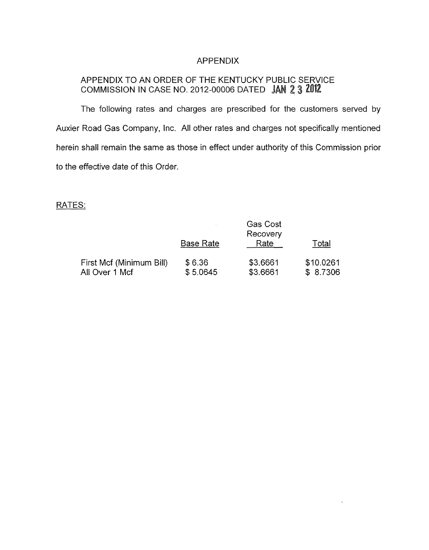## APPENDIX

# APPENDIX TO AN ORDER OF THE KENTUCKY PUBLIC SERVICE COMMISSION IN CASE NO. 2012-00006 DATED JAN 2 3 2012

The following rates and charges are prescribed for the customers served by Auxier Road Gas Company, Inc. All other rates and charges not specifically mentioned herein shall remain the same as those in effect under authority of this Commission prior to the effective date of this Order.

## RATES:

|                          | <b>Gas Cost</b><br>Recovery |          |           |
|--------------------------|-----------------------------|----------|-----------|
|                          | Base Rate                   | Rate     | Total     |
| First Mcf (Minimum Bill) | \$6.36                      | \$3.6661 | \$10.0261 |
| All Over 1 Mcf           | \$5.0645                    | \$3.6661 | \$8.7306  |